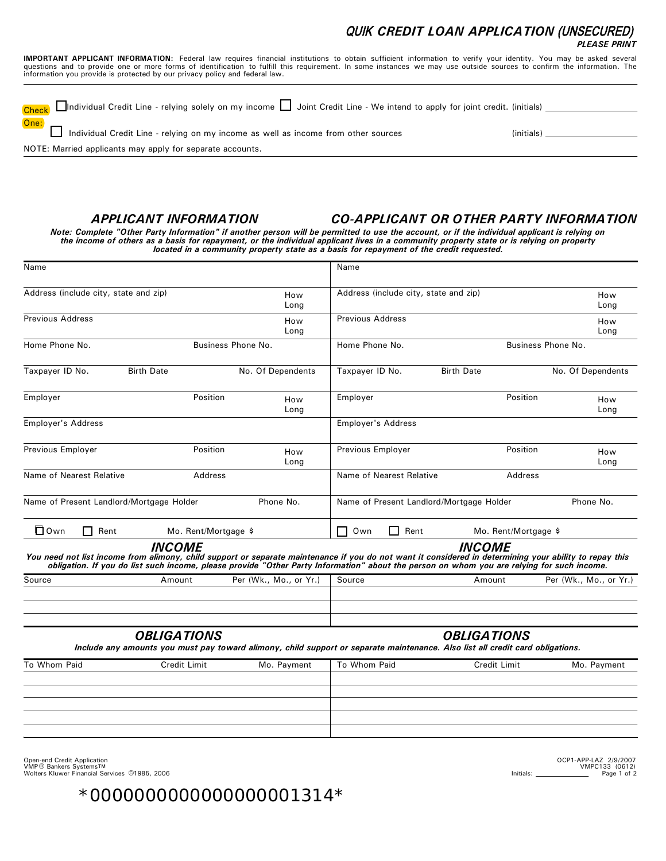#### QUIK *CREDIT LOAN APPLICATION* (UNSECURED) *PLEASE PRINT*

**IMPORTANT APPLICANT INFORMATION:** Federal law requires financial institutions to obtain sufficient information to verify your identity. You may be asked several<br>questions and to provide one or more forms of identification information you provide is protected by our privacy policy and federal law.

| Check □Individual Credit Line - relying solely on my income □ Joint Credit Line - We intend to apply for joint credit. (initials) |            |
|-----------------------------------------------------------------------------------------------------------------------------------|------------|
| One: <b>One:</b><br>Individual Credit Line - relying on my income as well as income from other sources                            | (initials) |
| NOTE: Married applicants may apply for separate accounts.                                                                         |            |

### *APPLICANT INFORMATION*

#### *CO-APPLICANT OR OTHER PARTY INFORMATION*

*Note: Complete "Other Party Information" if another person will be permitted to use the account, or if the individual applicant is relying on the income of others as a basis for repayment, or the individual applicant lives in a community property state or is relying on property located in a community property state as a basis for repayment of the credit requested.*

| Name                                     |                      |                        | Name                                     |                                                                                                                                                                                                                                                                                                                               |                        |
|------------------------------------------|----------------------|------------------------|------------------------------------------|-------------------------------------------------------------------------------------------------------------------------------------------------------------------------------------------------------------------------------------------------------------------------------------------------------------------------------|------------------------|
| Address (include city, state and zip)    |                      | How<br>Long            | Address (include city, state and zip)    |                                                                                                                                                                                                                                                                                                                               | How<br>Long            |
| <b>Previous Address</b>                  |                      | How<br>Long            | <b>Previous Address</b>                  |                                                                                                                                                                                                                                                                                                                               | How<br>Long            |
| Home Phone No.                           |                      | Business Phone No.     | Home Phone No.                           |                                                                                                                                                                                                                                                                                                                               | Business Phone No.     |
| Taxpayer ID No.                          | <b>Birth Date</b>    | No. Of Dependents      | Taxpayer ID No.                          | <b>Birth Date</b>                                                                                                                                                                                                                                                                                                             | No. Of Dependents      |
| Employer                                 | Position             | How<br>Long            | Employer                                 | Position                                                                                                                                                                                                                                                                                                                      | How<br>Long            |
| <b>Employer's Address</b>                |                      |                        | <b>Employer's Address</b>                |                                                                                                                                                                                                                                                                                                                               |                        |
| Previous Employer                        | Position             | How<br>Long            | Previous Employer                        | Position                                                                                                                                                                                                                                                                                                                      | How<br>Long            |
| Name of Nearest Relative                 | Address              |                        | Name of Nearest Relative                 | Address                                                                                                                                                                                                                                                                                                                       |                        |
| Name of Present Landlord/Mortgage Holder |                      | Phone No.              | Name of Present Landlord/Mortgage Holder |                                                                                                                                                                                                                                                                                                                               | Phone No.              |
| $\Box$ Own<br>Rent                       | Mo. Rent/Mortgage \$ |                        | Own<br>Rent<br>l 1                       | Mo. Rent/Mortgage \$                                                                                                                                                                                                                                                                                                          |                        |
|                                          | <i><b>INCOME</b></i> |                        |                                          | <i><b>INCOME</b></i><br>You need not list income from alimony, child support or separate maintenance if you do not want it considered in determining your ability to repay this<br>obligation. If you do list such income, please provide "Other Party Information" about the person on whom you are relying for such income. |                        |
| Source                                   | Amount               | Per (Wk., Mo., or Yr.) | Source                                   | Amount                                                                                                                                                                                                                                                                                                                        | Per (Wk., Mo., or Yr.) |
|                                          | <b>OBLIGATIONS</b>   |                        |                                          | <b>OBLIGATIONS</b><br>Include any amounts you must pay toward alimony, child support or separate maintenance. Also list all credit card obligations.                                                                                                                                                                          |                        |
| To Whom Paid                             | Credit Limit         | Mo. Payment            | To Whom Paid                             | Credit Limit                                                                                                                                                                                                                                                                                                                  | Mo. Payment            |
|                                          |                      |                        |                                          |                                                                                                                                                                                                                                                                                                                               |                        |
|                                          |                      |                        |                                          |                                                                                                                                                                                                                                                                                                                               |                        |
|                                          |                      |                        |                                          |                                                                                                                                                                                                                                                                                                                               |                        |

Open-end Credit Application<br>VMP ® Bankers Systems™<br>Wolters Kluwer Financial Services ©1985, 2006

OCP1-APP-LAZ 2/9/2007 VMPC133 (0612)  $Initials:$   $\frac{1}{2}$   $Page 1 of 2)$ 

\*0000000000000000001314\*